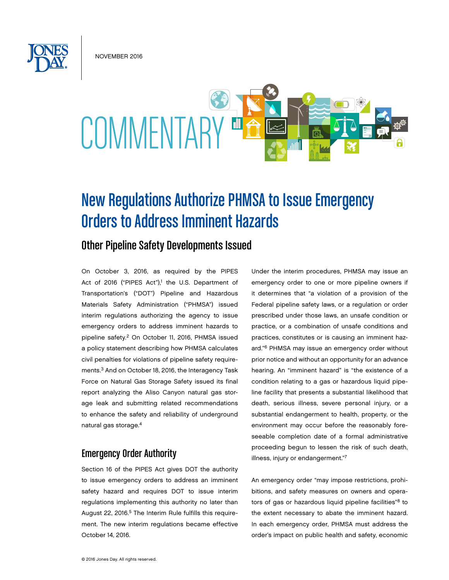November 2016



# New Regulations Authorize PHMSA to Issue Emergency Orders to Address Imminent Hazards

## Other Pipeline Safety Developments Issued

On October 3, 2016, as required by the PIPES Act of 2016 ("PIPES Act"),<sup>1</sup> the U.S. Department of Transportation's ("DOT") Pipeline and Hazardous Materials Safety Administration ("PHMSA") issued interim regulations authorizing the agency to issue emergency orders to address imminent hazards to pipeline safety.<sup>2</sup> On October 11, 2016, PHMSA issued a policy statement describing how PHMSA calculates civil penalties for violations of pipeline safety requirements.3 And on October 18, 2016, the Interagency Task Force on Natural Gas Storage Safety issued its final report analyzing the Aliso Canyon natural gas storage leak and submitting related recommendations to enhance the safety and reliability of underground natural gas storage.4

## Emergency Order Authority

Section 16 of the PIPES Act gives DOT the authority to issue emergency orders to address an imminent safety hazard and requires DOT to issue interim regulations implementing this authority no later than August 22, 2016.<sup>5</sup> The Interim Rule fulfills this requirement. The new interim regulations became effective October 14, 2016.

Under the interim procedures, PHMSA may issue an emergency order to one or more pipeline owners if it determines that "a violation of a provision of the Federal pipeline safety laws, or a regulation or order prescribed under those laws, an unsafe condition or practice, or a combination of unsafe conditions and practices, constitutes or is causing an imminent hazard."6 PHMSA may issue an emergency order without prior notice and without an opportunity for an advance hearing. An "imminent hazard" is "the existence of a condition relating to a gas or hazardous liquid pipeline facility that presents a substantial likelihood that death, serious illness, severe personal injury, or a substantial endangerment to health, property, or the environment may occur before the reasonably foreseeable completion date of a formal administrative proceeding begun to lessen the risk of such death, illness, injury or endangerment."7

An emergency order "may impose restrictions, prohibitions, and safety measures on owners and operators of gas or hazardous liquid pipeline facilities"<sup>8</sup> to the extent necessary to abate the imminent hazard. In each emergency order, PHMSA must address the order's impact on public health and safety, economic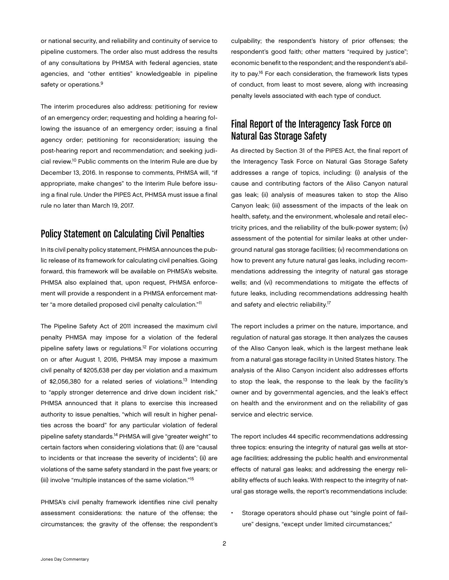or national security, and reliability and continuity of service to pipeline customers. The order also must address the results of any consultations by PHMSA with federal agencies, state agencies, and "other entities" knowledgeable in pipeline safety or operations.<sup>9</sup>

The interim procedures also address: petitioning for review of an emergency order; requesting and holding a hearing following the issuance of an emergency order; issuing a final agency order; petitioning for reconsideration; issuing the post-hearing report and recommendation; and seeking judicial review.10 Public comments on the Interim Rule are due by December 13, 2016. In response to comments, PHMSA will, "if appropriate, make changes" to the Interim Rule before issuing a final rule. Under the PIPES Act, PHMSA must issue a final rule no later than March 19, 2017.

### Policy Statement on Calculating Civil Penalties

In its civil penalty policy statement, PHMSA announces the public release of its framework for calculating civil penalties. Going forward, this framework will be available on PHMSA's website. PHMSA also explained that, upon request, PHMSA enforcement will provide a respondent in a PHMSA enforcement matter "a more detailed proposed civil penalty calculation."11

The Pipeline Safety Act of 2011 increased the maximum civil penalty PHMSA may impose for a violation of the federal pipeline safety laws or regulations.12 For violations occurring on or after August 1, 2016, PHMSA may impose a maximum civil penalty of \$205,638 per day per violation and a maximum of \$2,056,380 for a related series of violations.<sup>13</sup> Intending to "apply stronger deterrence and drive down incident risk," PHMSA announced that it plans to exercise this increased authority to issue penalties, "which will result in higher penalties across the board" for any particular violation of federal pipeline safety standards.14 PHMSA will give "greater weight" to certain factors when considering violations that: (i) are "causal to incidents or that increase the severity of incidents"; (ii) are violations of the same safety standard in the past five years; or (iii) involve "multiple instances of the same violation."15

PHMSA's civil penalty framework identifies nine civil penalty assessment considerations: the nature of the offense; the circumstances; the gravity of the offense; the respondent's culpability; the respondent's history of prior offenses; the respondent's good faith; other matters "required by justice"; economic benefit to the respondent; and the respondent's ability to pay.16 For each consideration, the framework lists types of conduct, from least to most severe, along with increasing penalty levels associated with each type of conduct.

## Final Report of the Interagency Task Force on Natural Gas Storage Safety

As directed by Section 31 of the PIPES Act, the final report of the Interagency Task Force on Natural Gas Storage Safety addresses a range of topics, including: (i) analysis of the cause and contributing factors of the Aliso Canyon natural gas leak; (ii) analysis of measures taken to stop the Aliso Canyon leak; (iii) assessment of the impacts of the leak on health, safety, and the environment, wholesale and retail electricity prices, and the reliability of the bulk-power system; (iv) assessment of the potential for similar leaks at other underground natural gas storage facilities; (v) recommendations on how to prevent any future natural gas leaks, including recommendations addressing the integrity of natural gas storage wells; and (vi) recommendations to mitigate the effects of future leaks, including recommendations addressing health and safety and electric reliability.17

The report includes a primer on the nature, importance, and regulation of natural gas storage. It then analyzes the causes of the Aliso Canyon leak, which is the largest methane leak from a natural gas storage facility in United States history. The analysis of the Aliso Canyon incident also addresses efforts to stop the leak, the response to the leak by the facility's owner and by governmental agencies, and the leak's effect on health and the environment and on the reliability of gas service and electric service.

The report includes 44 specific recommendations addressing three topics: ensuring the integrity of natural gas wells at storage facilities; addressing the public health and environmental effects of natural gas leaks; and addressing the energy reliability effects of such leaks. With respect to the integrity of natural gas storage wells, the report's recommendations include:

Storage operators should phase out "single point of failure" designs, "except under limited circumstances;"